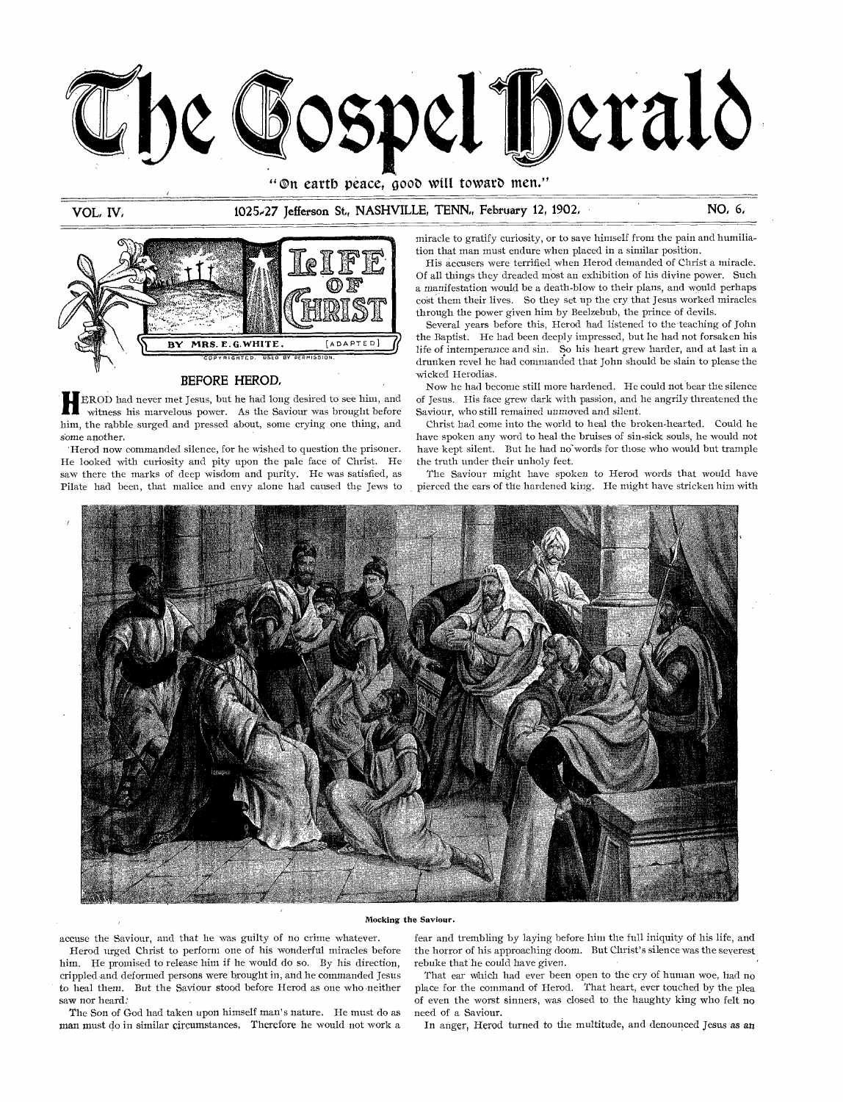

"On earth peace, good will toward men."

## VOL, IV, 1025.27 Jefferson St., NASHVILLE, TENN., February 12, 1902.

miracle to gratify curiosity, or to save himself from the pain and humiliation that man must endure when placed in a similar position.

His accusers were terrified when Herod demanded of Christ a miracle. Of all things they dreaded most an exhibition of his divine power. Such a manifestation would be a death-blow to their plans, and would perhaps cost them their lives. So they set up the cry that Jesus worked miracles through the power given him by Beelzebub, the prince of devils.

Several years before this, Herod had listened to the teaching of John the Baptist. He had been deeply impressed, but he had not forsaken his life of intemperance and sin. So his heart grew harder, and at last in a drunken revel he had commanded that John should be slain to please the wicked Herodias.

Now he had become still more hardened. He could not'bear the silence of Jesus. His face grew dark with passion, and he angrily threatened the Saviour, who still remained unmoved and silent.

Christ had come into the world to heal the broken-hearted. Could he have spoken any word to heal the bruises of sin-sick souls, he would not have kept silent. But he had no words for those who would but trample the truth under their unholy feet.

The Saviour might have spoken to Herod words that would have pierced the ears of the hardened king. He might have stricken him with



#### Mocking the Saviour.

accuse the Saviour, and that he was guilty of no crime whatever.

Herod urged Christ to perform one of his wonderful miracles before him. He promised to release him if he would do so. By his direction, crippled and deformed persons were brought in, and he commanded Jesus to heal them. But the Saviour stood before Herod as one who neither saw nor heard:

The Son of God had taken upon himself man's nature. He must do as man must do in similar circumstances, Therefore he would not work a fear and trembling by laying before him the full iniquity of his life, and the horror of his approaching doom. But Christ's silence was the severest rebuke that he could have given.

That ear which had ever been open to the cry of human woe, had no place for the command of Herod. That heart, ever touched by the plea of even the worst sinners, was closed to the haughty king who felt no need of a Saviour.

In anger, Herod turned to the multitude, and denounced *Jesus as an* 



#### BEFORE HEROD,

**HEROD** had never met Jesus, but he had long desired to see him, and witness his marvelous power. As the Saviour was brought before him, the rabble surged and pressed about, some crying one thing, and EROD had never met Jesus, but he had long desired to see him, and witness his marvelous power. As the Saviour was brought before some another,

'Herod now commanded silence, for he wished to question the prisoner. He looked with curiosity and pity upon the pale face of Christ. He saw there the marks of deep wisdom and purity. He was satisfied, as Pilate had been, that malice and envy alone had caused the Jews to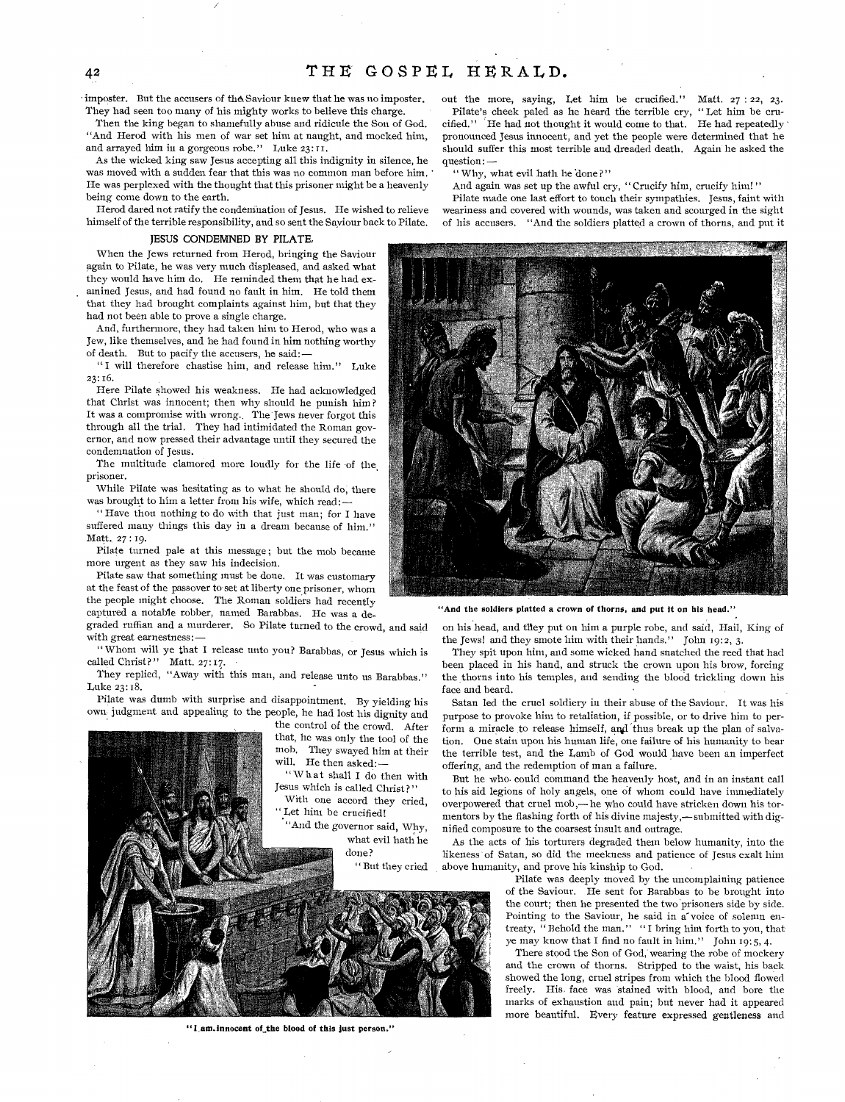imposter. But the accusers of the Saviour knew that he was no imposter. They had seen too many of his mighty works to believe this charge.

Then the king began to shamefully abuse and ridicule the Son of God. "And Herod with his men of war set him at naught, and mocked him, and arrayed him in a gorgeous robe." Luke 23:11.

As the wicked king saw Jesus accepting all this indignity in silence, he was moved with a sudden fear that this was no common man before him. ' He was perplexed with the thought that this prisoner might be a heavenly being come down to the earth.

Herod dared not ratify the condemnation of Jesus. He wished to relieve himself of the terrible responsibility, and so sent the Saviour back to Pilate.

#### JESUS CONDEMNED BY PILATE,

When the Jews returned from Herod, bringing the Saviour again to Pilate, he was very much displeased, and asked what they would have him do. He reminded them that he had examined Jesus, and had found no fault in him. He told them that they had brought complaints against him, but that they had not been able to prove a single charge.

And, furthermore, they had taken him to Herod, who was a Jew, like themselves, and he had found in him nothing worthy of death. But to pacify the accusers, he said:—

"I will therefore chastise him, and release him." Luke 23:16.

Here Pilate showed his weakness. He had acknowledged that Christ was innocent; then why should he punish him ? It was a compromise with wrong.. The Jews never forgot this through all the trial. They had intimidated the Roman governor, and now pressed their advantage until they secured the condemnation of Jesus.

The multitude clamored more loudly for the life of the prisoner.

While Pilate was hesitating as to what he should do, there was brought to him a letter from his wife, which read:—

" Have thou nothing to do with that just man; for I have suffered many things this day in a dream because of him." Matt. 27:19.

Pilate turned pale at this message ; but the mob became more urgent as they saw his indecision.

Pilate saw that something must be done. It was customary at the feast of the passover to set at liberty one prisoner, whom the people might choose. The Roman soldiers had recently captured a notable robber, named Barabbas. He was a de-

graded ruffian and a murderer. So Pilate turned to the crowd, and said with great earnestness:—

" Whom will ye that I release unto you? Barabbas, or Jesus which is called Christ?" Matt. 27:17.

They replied, "Away with this man, and release unto us Barabbas." Luke 23:18.

Pilate was dumb with surprise and disappointment. By yielding his own judgment and appealing to the people, he had lost his dignity and

the control of the crowd. After that, he was only the tool of the mob. They swayed him at their will. He then asked:

"What shall I do then with Jesus which is called Christ?"



" Why, what evil hath he done?"

And again was set up the awful cry, "Crucify him, crucify him!"

Pilate made one last effort to touch their sympathies. Jesus, faint with weariness and covered with wounds, was taken and scourged in the sight of his accusers. "And the soldiers platted a crown of thorns, and put it



"And the soldiers platted a crown of thorns, and put it on his head."

on his head, and they put on him a purple robe, and said, Hail, King of the Jews! and they smote him with their hands." John 19:2, 3.

They spit upon him, and some wicked hand snatched the reed that had been placed in his hand, and struck the crown upon his brow, forcing the thorns into his temples, and sending the blood trickling down his face and beard.

Satan led the cruel soldiery in their abuse of the Saviour. It was his purpose to provoke him to retaliation, if possible, or to drive him to perform a miracle to release himself, and thus break up the plan of salvation. One stain upon his human life, one failure of his humanity to bear the terrible test, and the Lamb of God would have been an imperfect offering, and the redemption of man a failure.

But he who. could command the heavenly host, and in an instant call to his aid legions of holy angels, one of whom could have immediately overpowered that cruel mob,— he who could have stricken down his tormentors by the flashing forth of his divine majesty,— submitted with dignified composure to the coarsest insult and outrage.

As the acts of his torturers degraded them below humanity, into the likeness of Satan, so did the meekness and patience of Jesus exalt him above humanity, and prove his kinship to God.

Pilate was deeply moved by the uncomplaining patience of the Saviour. He sent for Barabbas to be brought into the court; then he presented the two prisoners side by side. Pointing to the Saviour, he said in a voice of solemn entreaty, "Behold the man." "I bring him forth to you, that ye may know that I find no fault in him." John 19:5, 4.

There stood the Son of God, wearing the robe of mockery and the crown of thorns. Stripped to the waist, his back showed the long, cruel stripes from which the blood flowed freely. His. face was stained with blood, and bore the marks of exhaustion and pain; but never had it appeared more beautiful. Every feature expressed gentleness and



"I am. innocent of the blood of this just person."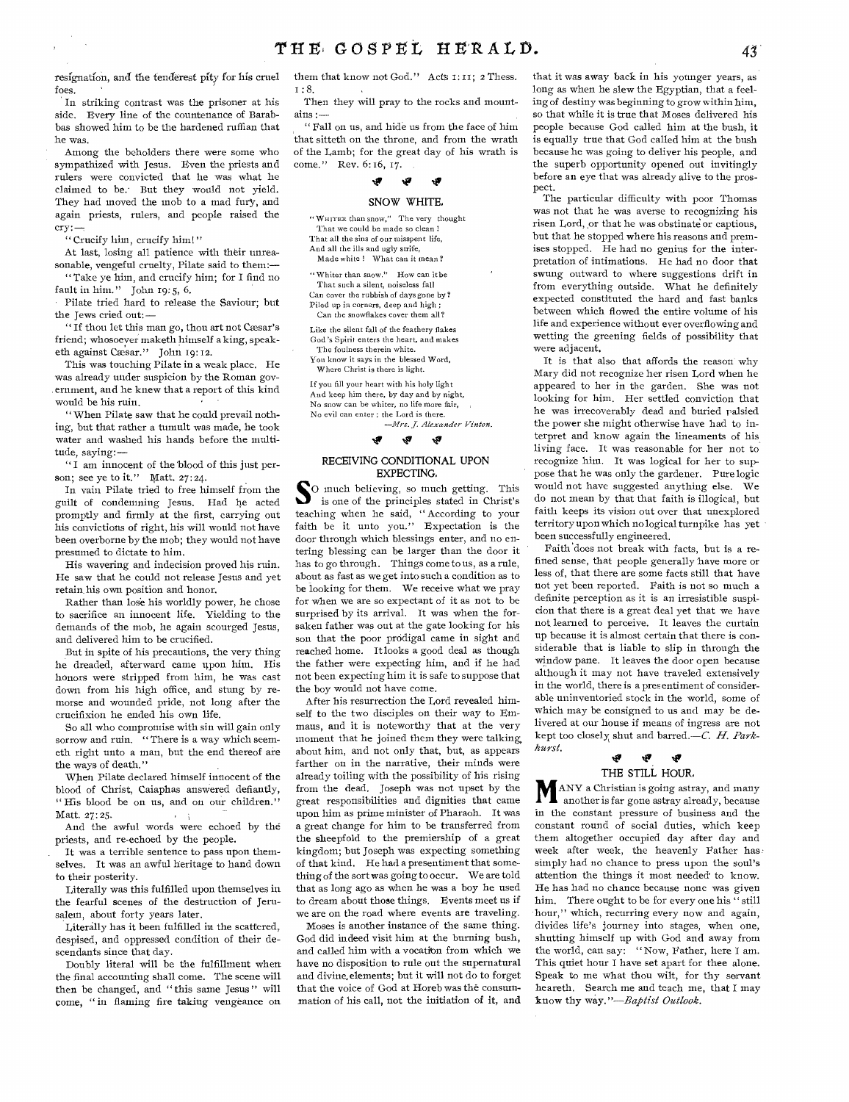resignation, and the tenderest pity for his cruel foes.

In striking contrast was the prisoner at his side. Every line of the countenance of Barabbas showed him to be the hardened ruffian that he was.

Among the beholders there were some who sympathized with Jesus. Even the priests and rulers were convicted that he was what he claimed to be. But they would not yield. They had moved the mob to a mad fury, and again priests, rulers, and people raised the cry:--

" Crucify him, crucify him! "

At last, losing all patience with their unreasonable, vengeful cruelty, Pilate said to them:— "Take ye him, and crucify him; for I find no

fault in him." John 19:5, 6. Pilate tried hard to release the Saviour; but the Jews cried out:—

" If thou let this man go, thou art not Cæsar's friend; whosoever maketh himself a king, speaketh against Cæsar." John 19:12.

This was touching Pilate in a weak place. He was already under suspicion by the Roman government, and he knew that a report of this kind would be his ruin.

" When Pilate saw that he could prevail nothing, but that rather a tumult was made, he took water and washed his hands before the multitude, saying:—

" I am innocent of the blood of this just person; see ye to it." Matt.  $27:24$ .

In vain Pilate tried to free himself from the guilt of condemning Jesus. Had be acted promptly and firmly at the first, carrying out his convictions of right, his will would not have been overborne by the mob; they would not have presumed to dictate to him.

His wavering and indecision proved his ruin. He saw that he could not release Jesus and yet retain his own position and honor.

Rather than lose his worldly power, he chose to sacrifice an innocent life. Yielding to the demands of the mob, he again scourged Jesus, and delivered him to be crucified.

But in spite of his precautions, the very thing he dreaded, afterward came upon him. His honors were stripped from him, he was cast down from his high office, and stung by remorse and wounded pride, not long after the crucifixion he ended his own life.

So all who compromise with sin will gain only sorrow and ruin. "There is a way which seemeth right unto a man, but the end thereof are the ways of death."

When Pilate declared himself innocent of the blood of Christ, Caiaphas answered defiantly, " His blood be on us, and on our children." Matt. 27:25.

And the awful words were echoed by the priests, and re-echoed by the people.

It was a terrible sentence to pass upon themselves. It was an awful heritage to hand down to their posterity.

Literally was this fulfilled upon themselves in the fearful scenes of the destruction of Jerusalem, about forty years later.

Literally has it been fulfilled in the scattered, despised, and oppressed condition of their descendants since that day.

Doubly literal will be the fulfillment when the final accounting shall come. The scene will then be changed, and "this same Jesus" will come, " in flaming fire taking vengeance on

them that know not God." Acts 1:11; 2 Thess.  $1:8.$ 

Then they will pray to the rocks and mountains :—

" Pall on us, and hide us from the face of him that sitteth on the throne, and from the wrath of the Lamb; for the great day of his wrath is come." Rev. 6:16, 17.

# $\mathfrak{P}$   $\mathfrak{P}$   $\mathfrak{P}$   $\mathfrak{P}$

### SNOW WHITE,

" WHITER than snow," The very thought That we could be made so clean ! That all the sins of our misspent life, And all the ills and ugly strife, Made white ! What can it mean?

"Whiter than snow." How can it be That such a silent, noiseless fall Can cover the rubbish of days gone by? Piled up in corners, deep and high ; Can the snowflakes cover them all?

Like the silent fall of the feathery flakes God's Spirit enters the heart, and makes The foulness therein white.

You know it says in the blessed Word,

Where Christ is there is light.

If you fill your heart with his holy light And keep him there, by day and by night, No snow can be whiter, no life more fair, No evil can enter ; the Lord is there. *—Mrs. J. Alexander Vinton.* 

 $\mathbf{v}$ ي Ŵ

## RECEIVING CONDITIONAL UPON

EXPECTING,<br>
So much believing, so much getting. This<br>
is one of the principles stated in Christ's is one of the principles stated in Christ's teaching when he said, " According to your faith be it unto you." Expectation is the door through which blessings enter, and no entering blessing can be larger than the door it has to go through. Things come to us, as a rule, about as fast as we get into such a condition as to be looking for them. We receive what we pray for when we are so expectant of it as not to be surprised by its arrival. It was when the forsaken father was out at the gate looking for his son that the poor prodigal came in sight and reached home. It looks a good deal as though the father were expecting him, and if he had not been expecting him it is safe to suppose that the boy would not have come.

After his resurrection the Lord revealed himself to the two disciples on their way to Emmaus, and it is noteworthy that at the very moment that he joined them they were talking, about him, and not only that, but, as appears farther on in the narrative, their minds were already toiling with the possibility of his rising from the dead. Joseph was not upset by the great responsibilities and dignities that came upon him as prime minister of Pharaoh. It was a great change for him to be transferred from the sheepfold to the premiership of a great kingdom; but Joseph was expecting something of that kind. He had a presentiment that something of the sort was going to occur. We are told that as long ago as when he was a boy he used to dream about those things. Events meet us if we are on the road where events are traveling.

Moses is another instance of the same thing. God did indeed visit him at the burning bush, and called him with a vocation from which we have no disposition to rule out the supernatural and divine, elements; but it will not do to forget that the voice of God at Horeb was the consummation of his call, not the initiation of it, and that it was away back in his younger years, as long as when he slew the Egyptian, that a feeling of destiny was beginning to grow within him, so that while it is true that Moses delivered his people because God called him at the bush, it is equally true that God called him at the bush because he was going to deliver his people, and the superb opportunity opened out invitingly before an eye that was already alive to the prospect.

The particular difficulty with poor Thomas was not that he was averse to recognizing his risen Lord, or that he was obstinate or captious, but that he stopped where his reasons and premises stopped. He had no genius for the interpretation of intimations. He had no door that swung outward to where suggestions drift in from everything outside. What he definitely expected constituted the hard and fast banks between which flowed the entire volume of his life and experience without ever overflowing and wetting the greening fields of possibility that were adjacent.

It is that also that affords the reason why Mary did not recognize her risen Lord when he appeared to her in the garden. She was not looking for him, Her settled conviction that he was irrecoverably dead and buried palsied the power she might otherwise have had to interpret and know again the lineaments of his living face. It was reasonable for her not to recognize him. It was logical for her to suppose that he was only the gardener. Pure logic would not have suggested anything else. We do not mean by that that faith is illogical, but faith keeps its vision out over that unexplored territory upon which no logical turnpike has yet been successfully engineered.

Faith 'does not break with facts, but is a refined sense, that people generally have more or less of, that there are some facts still that have not yet been reported. Faith is not so much a definite perception as it is an irresistible suspicion that there is a great deal yet that we have not learned to perceive. It leaves the curtain up because it is almost certain that there is considerable that is liable to slip in through the window pane. It leaves the door open because although it may not have traveled extensively in the world, there is a presentiment of considerable uninventoried stock in the world, some of which may be consigned to us and may be delivered at our house if means of ingress are not kept too closely, shut and barred.—C. *H. Parkhurst.* 

#### **R** *41* Nil THE STILL HOUR,

MANY a Christian is going astray, and many another is far gone astray already, because in the constant pressure of business and the constant round of social duties, which keep them altogether occupied day after day and week after week, the heavenly Father has simply had no chance to press upon the soul's attention the things it most needed to know. He has had no chance because none was given him. There ought to be for every one his " still hour," which, recurring every now and again, divides life's journey into stages, when one, shutting himself up with God and away from the world, can say: " Now, Father, here I am. This quiet hour I have set apart for thee alone. Speak to me what thou wilt, for thy servant heareth. Search me and teach me, that I may know thy *way. "—Baptist Outlook.*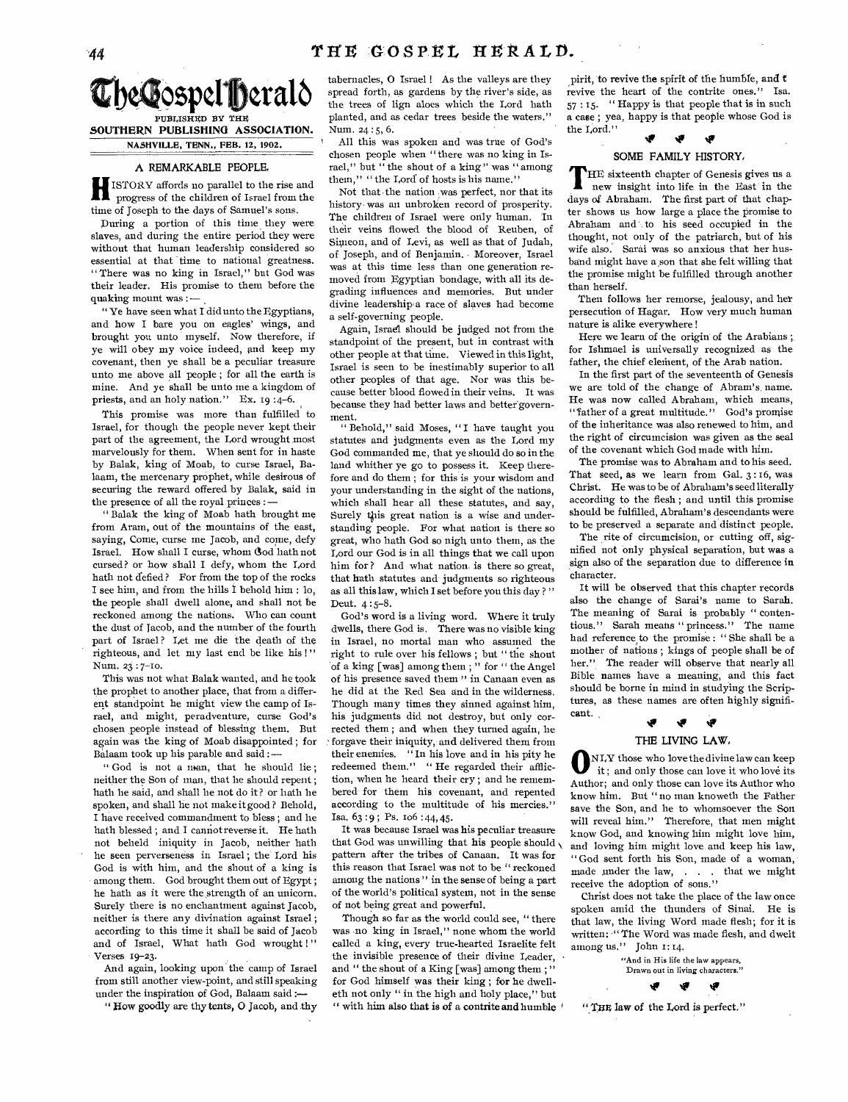

SOUTHERN PUBLISHING ASSOCIATION. **NASHVILLE, TENN., FEB. 12, 1902.** 

#### A REMARKABLE PEOPLE,

**H** ISTORY affords no parallel to the rise and progress of the children of Israel from the progress of the children of Israel from the time of Joseph to the days of Samuel's sons.

During a portion of this time they were slaves, and during the entire period they were without that human leadership considered so essential at that time to national greatness. " There was no king in Israel," but God was their leader. His promise to them before the quaking mount was : —

" Ye have seen what I did unto the Egyptians, and how I bare you on eagles' wings, and brought you unto myself. Now therefore, if ye will obey my voice indeed, and keep my covenant, then ye shall be a peculiar treasure unto me above all people ; for all the earth is mine. And ye shall be unto me a kingdom of priests, and an holy nation." Ex. 19 :4-6.

This promise was more than fulfilled to Israel, for though the people never kept their part of the agreement, the Lord wrought most marvelously for them. When sent for in haste by Balak, king of Moab, to curse Israel, Balaam, the mercenary prophet, while desirous of securing the reward offered by Balak, said in the presence of all the royal princes : —

" Balak the king of Moab hath brought me from Aram, out of the mountains of the east, saying, Come, curse me Jacob, and come, defy Israel. How shall I curse, whom God hath not cursed? or how shall I defy, whom the Lord hath not defied? For from the top of the rocks I see him, and from the hills I behold him ; lo, the people shall dwell alone, and shall not be reckoned among the nations. Who can count the dust of Jacob, and the number of the fourth part of Israel? Let me die the death of the righteous, and let my last end be like his !" Num. 23 :7-to.

This was not what Balak wanted, and he took the prophet to another place, that from a different standpoint he might view the camp of Israel, and might, peradventure, curse God's chosen people instead of blessing them. But again was the king of Moab disappointed ; for Balaam took up his parable and said :-

" God is not a man, that he should lie; neither the Son of man, that he should repent ; hath he said, and shall he not do it ? or hath he spoken, and shall he not make it good ? Behold, I have received commandment to bless ; and he hath blessed ; and I cannot reverse it. He hath not beheld iniquity in Jacob, neither hath he seen perverseness in Israel ; the Lord his God is with him, and the shout of a king is among them. God brought them out of Egypt ; he hath as it were the strength of an unicorn. Surely there is no enchantment against Jacob, neither is there any divination against Israel ; according to this time it shall be said of Jacob and of Israel, What hath God wrought!" Verses 19-23.

And again, looking upon the camp of Israel from still another view-point, and still speaking under the inspiration of God, Balaam said

" How goodly are thy tents, 0 Jacob, and thy

tabernacles, 0 Israel ! As the valleys are they spread forth, as gardens by the river's side, as the trees of lign aloes which the Lord bath planted, and as cedar trees beside the waters." Num. 24:5, 6.

All this was spoken and was true of God's chosen people when "there was no king in Israel," but " the shout of a king" was " among them," " the Lord of hosts is his name."

Not that the nation was perfect, nor that its history• was an unbroken record of prosperity. The children of Israel were only human. 'In their veins flowed the blood of Reuben, of Simeon, and of Levi, as well as that of Judah, of Joseph, and of Benjamin. Moreover, Israel was at this time less than one generation removed from Egyptian bondage, with all its degrading influences and memories. But under divine leadership'a race of slaves had become a self-governing people.

Again, Israel should be judged not from the standpoint of the present, but in contrast with other people at that time. Viewed in this light, Israel is seen to be inestimably superior to all other peoples of that age. Nor was this because better blood flowed in their veins. It was because they had better laws and better government.

" Behold," said Moses, " I have taught you statutes and judgments even as the Lord my God commanded me, that ye should do so in the land whither ye go to possess it. Keep therefore and do them ; for this is your wisdom and your understanding in the sight of the nations, which shall hear all these statutes, and say, Surely this great nation is a wise and understanding people. For what nation is there so great, who bath God so nigh unto them, as the Lord our God is in all things that we call upon him for? And what nation is there so great, that hath statutes and judgments so righteous as all this law, which I set before you this day?" Deut. 4 :5-8.

God's word is a living word. Where it truly dwells, there God is. There was no visible king in Israel, no mortal man who assumed the right to rule over his fellows ; but " the shout of a king [was] among them ; " for " the Angel of his presence saved them " in Canaan even as he did at the Red Sea and in the wilderness. Though many times they sinned against him, his judgments did not destroy, but only corrected them ; and when they turned again, he forgave their iniquity, and delivered them from their enemies. " In his love and in his pity he redeemed them." "He regarded their affliction, when he heard their cry ; and he remembered for them his covenant, and repented according to the multitude of his mercies." Isa. 63 : 9 ; Ps. fo6 : 44, 45.

It was because Israel was his peculiar treasure that God was unwilling that his people should pattern after the tribes of Canaan. It was for this reason that Israel was not to be " reckoned among the nations" in the sense of being a part of the world's political system, not in the sense of not being great and powerful.

Though so far as the world could see, " there was -no king in Israel," none whom the world called a king, every true-hearted Israelite felt the invisible presence of their divine Leader, and " the shout of a King [was] among them;' for God himself was their king ; for he dwelleth not only " in the high and holy place," but " with him also that is of a contrite and humble

pirit, 'to revive the spirit of the humble, and t revive the heart of the contrite ones." Isa. 57 : 15. " Happy is that people that is in such a case ; yea, happy is that people whose God is the Lord."

#### **A** ي SOME FAMILY HISTORY,

**41/** 

**THE** sixteenth chapter of Genesis gives us a new insight into life in the East in the new insight into life in the East in the days of Abraham. The first part of that chapter shows us how large a place the promise to Abraham and to his seed occupied in the thought, not only of the patriarch, but of his wife also. Sarai was so anxious that her husband might have a son that she felt willing that the promise might be fulfilled through another than herself.

Then follows her remorse, jealousy, and her persecution of Hagar. How very much human nature is alike everywhere !

Here we learn of the origin of the Arabians ; for Ishmael is universally recognized as the father, the chief elerhent, of the Arab nation.

In the first part of the seventeenth of Genesis we are told of the change of Abram's. name. He was now called Abraham, which means, "father of a great multitude." God's promise of the inheritance was also renewed to him, and the right of circumcision was given as the seal of the covenant which God made with him.

The promise was to Abraham and to his seed. That seed, as we learn from Gal. 3: 16, was Christ. He was to be of Abraham's seed literally according to the flesh ; and until this promise should be fulfilled, Abraham's descendants were to be preserved a separate and distinct people.

The rite of circumcision, or cutting off, signified not 'only physical separation, but was a sign also of the separation due to difference in character.

It will be observed that this chapter records also the change of Sarai's name to Sarah. The meaning of Sarai is probably " contentious." Sarah means "princess." The name had reference to the promise : " She shall be a mother of nations ; kings of people shall be of her." The reader will observe that nearly all Bible names have a meaning, and this fact should be borne in mind in studying the Scriptures, as these names are often highly significant.

## iv te tly THE LIVING LAW,

**O**NLY those who love the divine law can keep<br>it; and only those can love it who love its it ; and only those can love it who love its Author; and only those can love its Author who know him. But " no man knoweth the Father save the Son, and he to whomsoever the Son will reveal him." Therefore, that men might know God, and knowing him might love him, and loving him might love and keep his law, " God sent forth his Son, made of a woman, made under the law, . . . that we might receive the adoption of sons."

Christ does not take the place of the law once spoken amid the thunders of Sinai. He is that law, the living Word made flesh; for it is written: "The Word was made flesh, and dwelt among us." John 1: 14.

"And in His life the law appears,

Drawn out in living characters."

Ŵ w گیہ

"THE law of the Lord is perfect."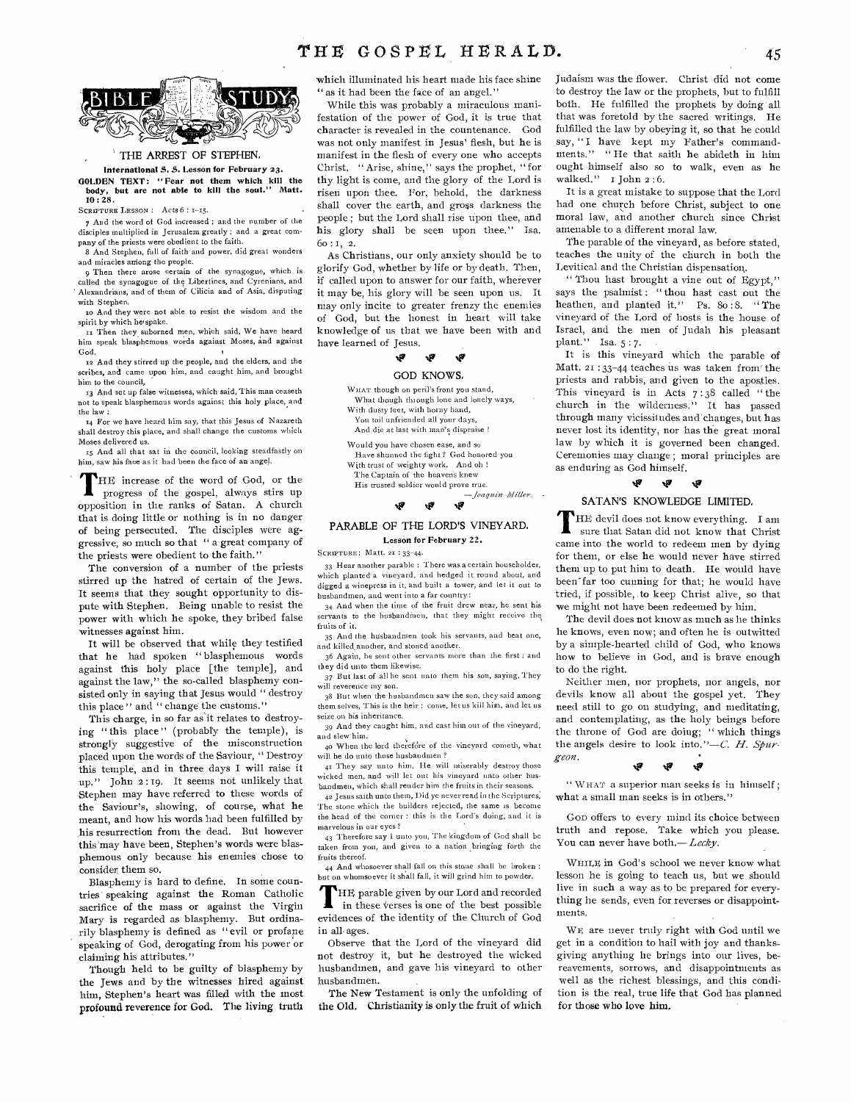

### THE ARREST OF STEPHEN.

**International S. S. Lesson for February 23. GOLDEN TEXT: " Fear not them which kill the body, but are not able to kill the soul." Matt. 10 : 28.** 

**SCRIPTURE LESSON : Acts 6 : x-x5.** 

**7 And the word of God increased ; and the number of the disciples multiplied in Jerusalem greatly ; and a great company of the priests were obedient** to **the faith.** 

**8 And Stephen, full of faith and power, did great wonders and miracles among the people.** 

**9 Then there arose certain of the synagogue, which** is **called the synagogue of the Libertines, and Cyrenians, and Alexandrians, and of them of Cilicia and of Asia, disputing with Stephen.** 

**so And they were not able** to resist **the wisdom and the spirit by which hespake.** 

**xx Then they suborned men, which said, We have heard**  him speak blasphemous words against Moses, and against **God.** 

**12** And they stirred **up the people, and the elders, and the scribes, and came upon him, and caught him, and brought him to the council,** 

**x3 And set up false witnesses, which said, This** man **ceaseth not to speak blasphemous words** against **this** holy **place, and**  the law :

**x4 For we have heard him say, that this** Jesus of **Nazareth**  shall **destroy this place, and shall change the customs which**  Moses delivered us.

**15 And all** that **sat** in the **council, looking steadfastly on**  him, **saw his face as** it had **been the face of an angel.** 

**THE** increase of the word of God, or the progress of the gospel, always stirs up opposition in the ranks of Satan. A church **HE increase of the word of God, or the progress of the gospel, always stirs up that is doing little or nothing is in no danger of being persecuted. The disciples were aggressive, so much so that " a great company of the priests were obedient to the faith."** 

**The conversion of a number of the priests stirred up the hatred of certain of the Jews. It seems that they sought opportunity to dispute with Stephen. Being unable to resist the power with which he spoke, they bribed false witnesses against him.** 

**It will be observed that while they testified that he had spoken " blasphemous words against this holy place [the temple], and against the law," the so-called blasphemy consisted only in saying that Jesus would " destroy this place " and " change the customs."** 

**This charge, in so far as'it relates to destroying "this place" (probably the temple), is strongly suggestive of the misconstruction placed upon the words of the Saviour, " Destroy this temple, and in three days I** will raise it **up." John** 2 :19. **It seems not unlikely that Stephen may have referred to these words of the Saviour's, showing, of course, what he meant, and how his words had been fulfilled by his resurrection front the dead. But however this'may have been, Stephen's words were blasphemous only because his enemies chose to consider them so.** 

**Blasphemy is hard to define. In some countries speaking against the Roman Catholic sacrifice of the mass or against the Virgin Mary is regarded as blasphemy. But ordinarily blasphemy is defined as " evil or profane speaking of God, derogating from his power or claiming his attributes."** 

**Though held to be guilty of blasphemy by the Jews and by the witnesses hired against him, Stephen's heart was filled with the most profound** reverence for God. The living truth **which illuminated his heart made his face shine " as it had been the face of an angel."** 

**While this was probably a miraculous manifestation of the power of God, it is true that character is revealed in the countenance. God was not only manifest in Jesus' flesh, but he is manifest in the flesh of every one who accepts Christ. "Arise, shine," says the prophet, "for thy light is come, and the glory of, the Lord is risen upon thee. For, behold, the darkness shall cover the earth, and gross darkness the people ; but the Lord shall rise upon thee, and his glory shall be seen upon thee." Isa. 6o : <sup>I</sup>**, 2.

**As Christians, our only anxiety should be to glorify God, whether by life or by death. Then, if called upon to answer for our faith, wherever it may be, his glory will be** seen **upon us. It may only incite to greater frenzy the enemies of God, but the honest in heart will take knowledge of us that we have been with and have learned of Jesus.** 



**WHAT though** on peril's front **you stand, What though through lone and lonely ways, With dusty feet, with horny hand, You toil unfriended all your days, And die at last with man's dispraise !** 

**Would you have chosen ease, and** so **Have shunned the fight? God honored you With** trust **of weighty work. And oh ! The Captain of the heavens knew His trusted soldier would prove true.**  *—Joaquin Miller.* 

*+0 +0 +0* 

#### **PARABLE** OF THE LORD'S VINEYARD. **Lesson for February 22.**

**SCRIPTURE: Matt.** sr : 33-44.

33 **Hear another parable : There was a certain householder,**  which **planted a vineyard, and hedged it round about, and**  digged a winepress in it, and built a tower, and let it out to **husbandmen, and went into a far country:** 

**34 And when the time of the fruit drew near, he sent his servants** to the **husbandman, that they might receive the**  fruits of it.

**<sup>35</sup>**And the **husbandmen took his servants,** and **beat one, and killed, another, and stoned another.** 

36 **Again, he** *sent* **other servants more than the first : and**  they did unto **them likewise.** 

37 But **last of all he sent unto them his son, saying, They will reverence my son.** 

**38 But when the husbandmen** saw **the son, they said among them selves, This is the heir : come, let us kill him, and let us seize on his inheritance.** 

**39 And they caught him, and cast him out of the vineyard, and slew him.** 

40 When the lord therefore of the vineyard cometh, what **will he do unto those husbandmen ?** 

4. **They say unto him, He will miserably destroy those wicked men, and will let out his vineyard unto other husbandmen, which shall render him the fruits in their seasons.** 

42 **Jesus saith unto them, Did ye never read in the Scriptures,**  The **stone which the builders rejected, the same is become**  the head **of the corner : this is the Lord's doing, and it is**  marvelous **in our eyes?** 

43 Therefore **say 1 unto you, The kingdom of God shall** be **taken from you, and given to a nation bringing forth** the fruits thereof.

44 And **whosoever shall fall on this stone shall be broken :**  but on whomsoever it shall fall, it will grind him to powder.

**THE parable given by our Lord and recorded**<br>in these verses is one of the best possible in these Verses is one of the best possible evidences of the identity of the Church of God in **all-ages.** 

Observe that the Lord of the vineyard did not destroy it, but he destroyed the wicked husbandmen, and gave his vineyard to other husbandmen.

**The** New Testament is only the unfolding **of the** Old. Christianity **is only the fruit of which** 

**Judaism was the flower. Christ did not come to destroy the law or the prophets, but to fulfill both. He fulfilled the prophets by doing all that was foretold by the sacred writings. He fulfilled the law by obeying it, so that he could say, " I have kept my Father's commandments." " He that saith he abideth in him ought himself also so to walk, even as he walked." I John 2 : 6.** 

**It is a great mistake to suppose that the Lord had one church before Christ, subject to one moral law, and another church since Christ amenable to a different moral law.** 

**The parable of the vineyard, as before stated, teaches the unity of the church in both the Levitical and the Christian dispensation.** 

**" Thou hast brought a vine out of Egypt,"**  says the psalmist: "thou hast cast out the heathen, and planted it." Ps. 8o:8. "The **vineyard of the Lord of hosts is the house of Israel, and the men of Judah his pleasant plant." Isa, 5 :7.** 

**It is this vineyard which the parable of Matt. 21:33-44 teaches us was taken from' the priests and rabbis, and given to the apostles. This vineyard is in Acts 7 :38 called " the church in the wilderness." It has passed through many vicissii udes and 'changes, but has never lost its identity, nor has the great moral law by which it is governed been changed. Ceremonies may change ; moral principles are as enduring as God himself.** 

#### $\mathbf{v}$ -57

## SATAN'S KNOWLEDGE **LIMITED,**

**THE devil does not know everything.** I am sure that Satan did not know that Christ **sure that Satan did not know that Christ**  came into the world to **redeem men by dying**  for them, or **else he would never have stirred**  them up to put **him to death. He would have**  been' far too cunning **for that; he would have**  tried, if possible, .to keep **Christ alive, so that we** might not have been redeemed **by him.** 

The devil does not know **as much as he thinks he** knows, even now; and **often he is outwitted**  by a simple-hearted child of God, who knows how to believe **in** God, **and is brave enough**  to do the right.

Neither men, nor prophets, nor **angels, nor**  devils know all about the gospel **yet. They**  need still to go on **studying, and meditating,**  and contemplating, as the holy beings **before**  the throne of God are doing; " which things the angels desire to look into."—C.  $H$ . Spur*geon.* 

*+0 +0 +0* 

" WHAT a superior man seeks is in himself ; what a small man seeks is in others."

Gop offers to every mind its choice between truth and repose. Take which you please. You can never have both.— $\text{L}eckv$ .

WHILE in God's school we never know what lesson he is going to teach us, but we should live in such a way as to be prepared for everything he sends, even for reverses or disappointments.

WE are never truly right with God until we get in a condition to hail with joy and thanksgiving anything he brings into our lives, bereavements, sorrows, and disappointments as well as the richest blessings, and this condition is the real, true life that God has planned for those **who love him,**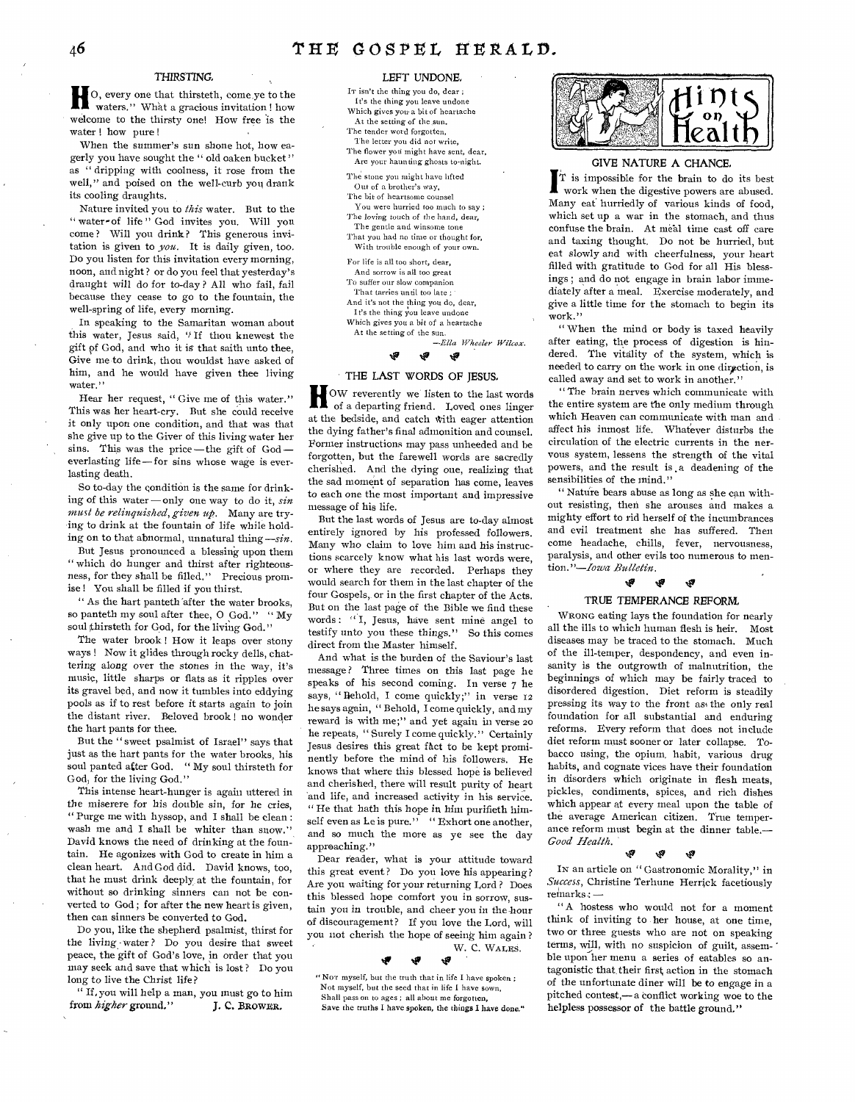#### THIRSTING,

O, every one that thirsteth, come ye to the waters." What a gracious invitation ! how welcome to the thirsty one! How free is the water ! how pure !

When the summer's sun shone hot, how eagerly you have sought the " old oaken bucket" as " dripping with coolness, it rose from the well," and poised on the well-curb you drank its cooling draughts.

Nature invited you to *this* water. But to the " water-of life " God invites you. Will you come? Will you drink? This generous invitation is given to *you.* It is daily given, too. Do you listen for this invitation every morning, noon, and night ? or do you feel that yesterday's draught will do for to-day ? All who fail, fail because they cease to go to the fountain, the well-spring of life, every morning.

In speaking to the Samaritan woman about this water, Jesus said, " If thou knewest the gift pf God, and who it is that saith unto thee, Give me to drink, thou wouldst have asked of him, and he would have given thee living water."

Hear her request, " Give me of this water." This was her heart-cry. But she could receive it only upon one condition, and that was that she give up to the Giver of this living water her sins. This was the price —the gift of God everlasting life—for sins whose wage is everlasting death.

So to-day the eondition is the same for drinking of this water—only one way to do it, *sin muct be relinquished, given up.* Many are trying to drink at the fountain of life while holding on to that abnormal, unnatural thing *—sin.* 

But Jesus pronounced a blessing upon them " which do hunger and thirst after righteousness, for they shall be filled." Precious promise ! You shall be filled if you thirst.

" As the hart panteth 'after the water brooks, so panteth my soul after thee, 0 God." " My soul thirsteth for God, for the living God."

The water brook ! How it leaps over stony ways ! Now it glides through rocky dells, chattering *along* over the stones in the way, it's music, little sharps or flats as it ripples over its gravel bed, and now it tumbles into eddying pools as if to rest before it starts again to join the distant river. Beloved brook ! no wonder the hart pants for thee.

But the " sweet psalmist of Israel" says that just as the hart pants for the water brooks, his soul panted after God. " My soul thirsteth for God, for the living God."

This intense heart-hunger is again uttered in the miserere for his double sin, for he cries, " Purge me with hyssop, and I shall be clean : wash me and I shall be whiter than snow." David knows the need of drinking at the fountain. He agonizes with God to create in him a clean heart. And God did. David knows, too, that he must drink deeply-at the fountain, for without so drinking sinners can not be converted to God ; for after the new heart is given, then can sinners be converted to God.

Do you, like the shepherd psalmist, thirst for the living -water ? Do you desire that *sweet*  peace, the gift of God's love, in order that you may seek and save that which is lost ? Do you long to live the Christ life?

" If, you will help a man, you must go to him from *higher* ground." J. C. BROWER.

#### LEFT UNDONE,

Jr isn't the thing you do, dear ; It's the thing you leave undone Which gives you a bit of heartache At the setting of the sun. The tender word forgotten, The letter you did not write, The flower yoti might have sent, dear, Are your haunting ghosts to-night.

The stone you might have lifted Out of a brother's *way,*  The bit of heartsome counsel You were hurried too much to say ; The *loving* touch of the hand, dear, The gentle and winsome tone That you had no time or thought for,

With trouble enough of your own. For life is all too short, dear, And sorrow is all too great To suffer our slow companion

That tarries until too late : And it's not the thing you do, dear,

It's the thing you leave undone Which gives you a bit of a heartache

At the setting of the sun.

*—Ella Wheeler Wilcox.*  ۰.۶ ي ₩

#### THE LAST WORDS OF IESUS.

**H** OW reverently we listen to the last words of a departing friend. Loved ones linger at the bedside, and catch with eager attention the dying father's final admonition and counsel. Former instructions may pass unheeded and be forgotten, but the farewell words are sacredly cherished. And the dying one, realizing that the sad moment of separation has come, leaves to each one the most important and impressive message of his life.

But the last words of Jesus are to-day almost entirely ignored by his professed followers. Many who claim to love him and his instructions scarcely know what his last words were, or where they are recorded. Perhaps they would search for them in the last chapter of the four Gospels, or in the first chapter of the Acts. But on the last page of the Bible we find these words : " I, Jesus, have sent mine angel to testify unto you these things." So this comes direct from the Master himself.

And what is the burden of the Saviour's last message ? Three times on this last page he speaks of his second coming. In verse 7 he says, "Behold, I come quickly;" in verse 12 he says again, " Behold, I come quickly, and my reward is with me;" and yet again in verse 20 he repeats, " Surely I come quickly." Certainly Jesus desires this great fact to be kept prominently before the mind of his followers. He knows that where this blessed hope is believed and cherished, there will result purity of heart and life, and increased activity in his service. " He that hath this hope in him purifieth himself even as Le is pure." " Exhort one another, and so much the more as ye see the day approaching."

Dear reader, what is your attitude toward this great event? Do you love his appearing? Are you waiting for your returning Lord ? Does this blessed hope comfort you in sorrow, sustain you in trouble, and cheer you in the hour of discouragement? If you love the Lord, will you not cherish the hope of seeing him again ? W. C. WALES.

*iff* 

" NOT myself, but the truth that in life I have spoken ; Not myself, but the seed that in life I have sown, Shall pass on to ages ; all about me forgotten, Save the truths I have spoken, the things I have done,"



GIVE NATURE A CHANCE,

I T is impossible for the brain to do its best work when the digestive powers are abused. Many eat hurriedly of various kinds of food, which set up a war in the stomach, and thus confuse the brain. At meal time cast off care and taxing thought. Do not be hurried, but eat slowly and with cheerfulness, your heart filled with gratitude to God for all His blessings ; and do not engage in brain labor immediately after a meal. Exercise moderately, and give a little time for the stomach to begin its work."

" When the mind or body is taxed heavily after eating, the process of digestion is hindered. The vitality of the system, which is needed to carry on the work in one direction, is called away and set to work in another.'

" The brain nerves which communicate with the entire system are the only medium through which Heaven can communicate with man and affect his inmost life. Whatever disturbs the circulation of the electric currents in the nervous system, lessens the strength of the vital powers, and the result is a deadening of the sensibilities of the mind."

" Nature bears abuse as long as she can without resisting, then she arouses and makes a mighty effort to rid herself of the incumbrances and evil treatment she has suffered. Then come headache, chills, fever, nervousness, paralysis, and other evils too numerous to mention. *"—Iowa Bulletin.* 

#### tag tla کړي

## TRUE TEMPERANCE REFORM,

WRONG eating lays the foundation for nearly all the ills to which human flesh is heir. Most diseases may be traced to the stomach. Much of the ill-temper, despondency, and even insanity is the outgrowth of malnutrition, the beginnings of which may be fairly traced to disordered digestion. Diet reform is steadily pressing its way to the front ass the only real foundation for all substantial and enduring reforms. Every reform that does not include diet reform must sooner or later collapse. Tobacco using, the opium, habit, various drug habits, and cognate vices have their foundation in disorders which originate in flesh meats, pickles, condiments, spices, and rich dishes which appear at every meal upon the table of the average American citizen. True temperance reform must begin at the dinner table.— *Good Health.* 

#### tg %is tly

IN an article on " Gastronomic Morality," in *Success,* Christine Terhune Herrick facetiously remarks : —

" A hostess who would not for a moment think of inviting to her house, at one time, two or three guests who are not on speaking terms, will, with no suspicion of guilt, assemble upon her menu a series of eatables so antagonistic that their first action in the stomach of the unfortunate diner will be to engage in a pitched contest,— a conflict working woe to the helpless possessor of the battle ground."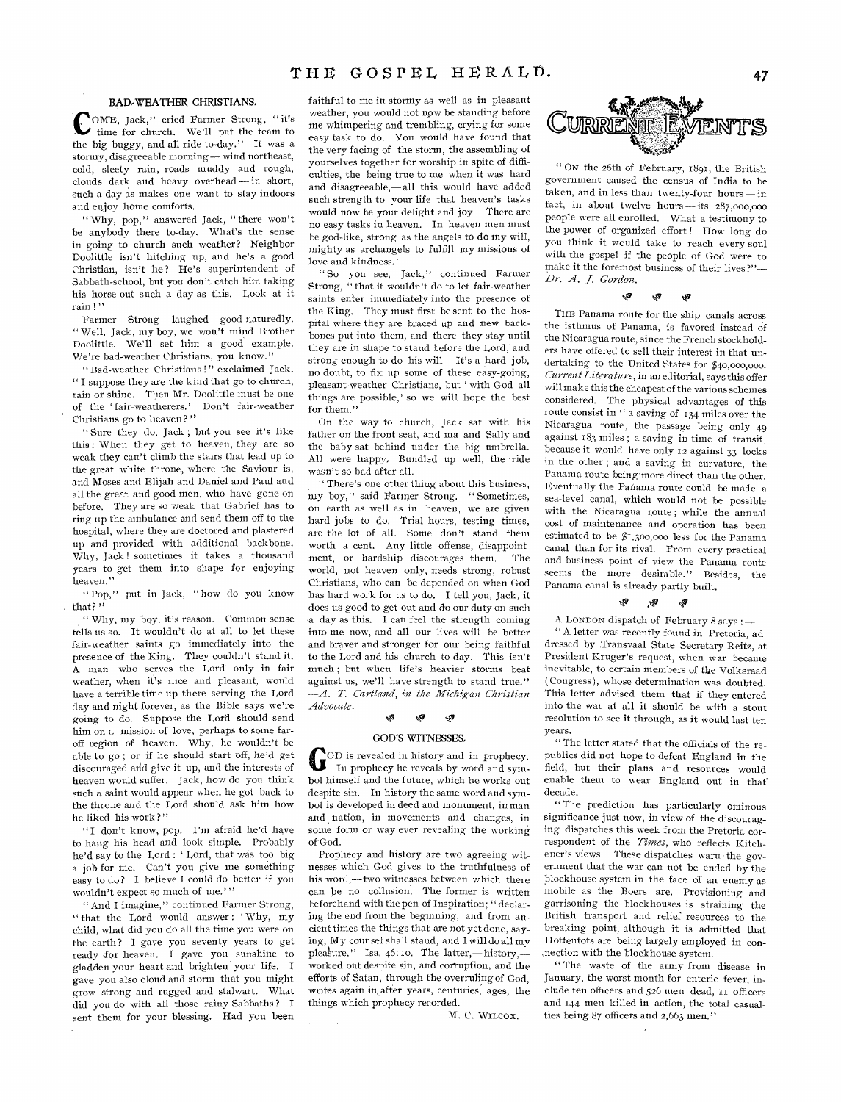## BAD,WEATHER CHRISTIANS,

C OME, Jack," cried Farmer Strong, " it's time for church. We'll put the team to the big buggy, and all ride to-day." It was a stormy, disagreeable morning—wind northeast, cold, sleety rain, roads muddy and rough, clouds dark and heavy overhead—in short, such a day as makes one want to stay indoors and enjoy home comforts.

" Why, pop," answered Jack, "there won't be anybody there to-day. What's the sense in going to church such weather? Neighbor Doolittle isn't hitching up, and he's a good Christian, isn't he ? He's superintendent of Sabbath-school, but you don't catch him taking his horse out such a day as this. Look at it rain ! "

Farmer Strong laughed good-naturedly. " Well, Jack, my boy, we won't mind Brother Doolittle. We'll set him a good example. We're bad-weather Christians, you know."

" Bad-weather Christians !" exclaimed Jack. " I suppose they are the kind that go to church, rain or shine. Then Mr. Doolittle must be one of the fair-weatherers.' Don't fair-weather Christians go to heaven?"

Sure they do, Jack ; but you see it's like this : When they get to heaven, they are so weak they can't climb the stairs that lead up to the great white throne, where the Saviour is, and Moses and Elijah and Daniel and Paul and all the great and good men, who have gone on before. They are so weak that Gabriel has to ring up the ambulance and send them off to the hospital, where they are doctored and plastered up and provided with additional backbone. Why, Jack ! sometimes it takes a thousand years to get them into shape for enjoying heaven."

"Pop," put in Jack, "how do you know that? "

" Why, my boy, it's reason. Common sense tells us so. It wouldn't do at all to let these fair-weather saints go immediately into the presence of the King. They couldn't stand it. A man who serves the Lord only in fair weather, when it's nice and pleasant, would have a terrible time up there serving the Lord day and night forever, as the Bible says we're going to do. Suppose the Lord should send him on a mission of love, perhaps to some faroff region of heaven. Why, he wouldn't be able to go ; or if he should start off, he'd get discouraged and give it up, and the interests of heaven would suffer. Jack, how do you think such a saint would appear when he got back to the throne and the Lord should ask him how he liked his work ?"

"I don't know, pop. I'm afraid he'd have to hang his head and look simple. Probably he'd say to the Lord : 'Lord, that was too big a job for me. Can't you give me something easy to do? I believe I could do better if you wouldn't expect so much of me.' "

" And I imagine," continued Farmer Strong, " that the Lord would answer : Why, my child, what did you do all the time you were on the earth? I gave you seventy years to get ready for heaven. I gave you sunshine to gladden your heart and brighten your life. I gave you also cloud and storm that you might grow strong and rugged and stalwart. What did you do with all those rainy Sabbaths ? I sent them for your blessing. Had you been faithful to me in stormy as well as in pleasant weather, you would not now be standing before me whimpering and trembling, crying for some easy task to do. You would have found that the very facing of the storm, the assembling of yourselves together for worship in spite of difficulties, the being true to me when it was hard and disagreeable,—all this would have added such strength to your life that heaven's tasks would now be your delight and joy. There are no easy tasks in heaven. In heaven men must be god-like, strong as the angels to do my will, mighty as archangels to fulfill my missions of love and kindness.'

" So you see, Jack," continued Farmer Strong, " that it wouldn't do to let fair-weather saints enter immediately into the presence of the King. They must first be sent to the hospital where they are braced up and new backbones put into them, and there they stay until they are in shape to stand before the Lord,' and strong enough to do his will. It's a bard job, no doubt, to fix up some of these easy-going, pleasant-weather Christians, but 'with God all things are possible,' so we will hope the best for them."

On the way to church, Jack sat with his father on the front seat, and ma and Sally and the baby sat behind under the big umbrella. All were happy, Bundled up well, the •ride wasn't so bad after all.

" There's one other thing about this business, my boy," said Fanner Strong. "Sometimes, on earth as well as in heaven, we are given hard jobs to do. Trial hours, testing times, are the lot of all. Some don't stand them worth a cent. Any little offense, disappointment, or hardship discourages them. The world, not heaven only, needs strong, robust Christians, who can be depended on when God has hard work for us to do. I tell you, Jack, it does us good to get out and do our duty on such a day as this. I can feel the strength coming into me now, and all our lives will be better and braver and stronger for our being faithful to the Lord and his church to-day. This isn't much ; but when life's heavier storms beat against us, we'll have strength to stand true." *—A. T Cartland, in the Michigan Christian Advocate.* 

#### .<br>الأب **W**  $\sqrt{3}$

#### GOD'S WITNESSES,

**G** OD is revealed in history and in prophecy. In prophecy he reveals by word and symbol himself and the future, which he works out despite sin. In history the same word and symbol is developed in deed and monument, in man and nation, in movements and changes, in some form or way ever revealing the working of God.

Prophecy and history are two agreeing witnesses which God gives to the truthfulness of his word,---two witnesses between which there can be no collusion. The former is written beforehand with the pen of Inspiration; " declaring the end from the beginning, and from ancient times the things that are not yet done, saying, My counsel shall stand, and I will do all my pleasure." Isa. 46:10. The latter,—history,worked out despite sin, and corruption, and the efforts of Satan, through the overruling of God, writes again in after years, centuries, ages, the things which prophecy recorded.

M. C. WiLcox.



" ON the 26th of February, 1891, the British government caused the census of India to be taken, and in less than twenty-four hours—in fact, in about twelve hours  $-$  its  $287,000,000$ people were all enrolled. What a testimony to the power of organized effort ! How long do you think it would take to reach every soul with the gospel if the people of God were to make it the foremost business of their lives?"— *Dr. A. J. Gordon.* 

#### **SP** وي

THE Panama route for the ship canals across the isthmus of Panama, is favored instead of the Nicaragua route, since the French stockholders have offered to sell their interest in that undertaking to the United States for \$40,000,000. *CurrentLiterature,* in an editorial, says this offer will make this the cheapest of the various schemes considered. The physical advantages of this route consist in " a saving of 134 miles over the Nicaragua route, the passage being only 49 against 183 miles ; a saving in time of transit, because it would have only 12 against 33 locks in the other ; and a saving in curvature, the Panama route being moredirect than the other. Eventually the Panama route could be made a sea-level canal, which would not be possible with the Nicaragua route; while the annual cost of maintenance and operation has been estimated to be \$1,300,000 less for the Panama canal than for its rival. From every practical and business point of view the Panama route seems the more desirable." Besides, the Panama canal is already partly built.

#### لګ لكير

A LONDON dispatch of February  $8$  says :  $-$ 

" A letter was recently found in Pretoria, addressed by .Transvaal State Secretary Reitz, at President Kruger's request, when war became inevitable, to certain members of the Volksraad (Congress), whose determination was doubted. This letter advised them that if they entered into the war at all it should be with a stout resolution to see it through, as it would last ten years.

" The letter stated that the officials of the republics did not hope to defeat England in the field, but their plans and resources would enable them to wear England out in that' decade.

" The prediction has particularly ominous significance just now, in view of the discouraging dispatches this week from the Pretoria correspondent of the *Times,* who reflects Kitchener's views. These dispatches warn the government that the war can not be ended by the blockhouse system in the face of an enemy as mobile as the Boers are. Provisioning and garrisoning the blockhouses is straining the British transport and relief resources to the breaking point, although it is admitted that Hottentots are being largely employed in connection with the blockhouse system.

" The waste of the army from disease in January, the worst month for enteric fever, include ten officers and 526 men dead, It officers and 144 men killed in action, the total casualties being 87 officers and 2,663 men."